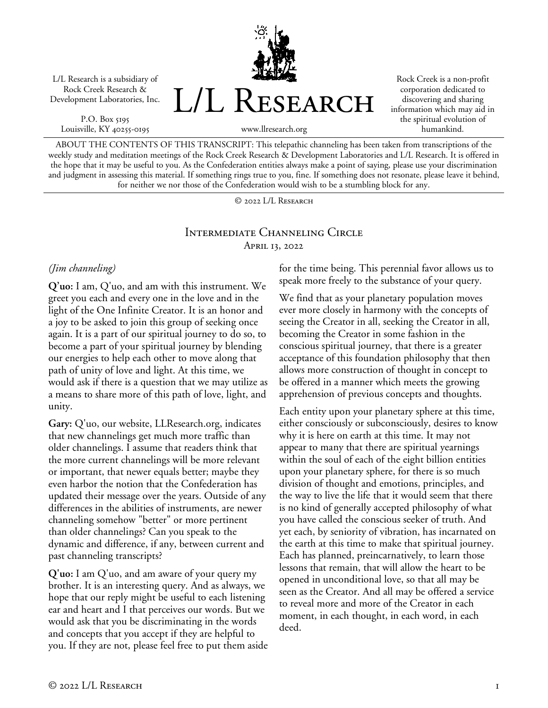L/L Research is a subsidiary of Rock Creek Research & Development Laboratories, Inc.

P.O. Box 5195 Louisville, KY 40255-0195 L/L RESEARCH

Rock Creek is a non-profit corporation dedicated to discovering and sharing information which may aid in the spiritual evolution of humankind.

www.llresearch.org

ABOUT THE CONTENTS OF THIS TRANSCRIPT: This telepathic channeling has been taken from transcriptions of the weekly study and meditation meetings of the Rock Creek Research & Development Laboratories and L/L Research. It is offered in the hope that it may be useful to you. As the Confederation entities always make a point of saying, please use your discrimination and judgment in assessing this material. If something rings true to you, fine. If something does not resonate, please leave it behind, for neither we nor those of the Confederation would wish to be a stumbling block for any.

© 2022 L/L Research

### Intermediate Channeling Circle April 13, 2022

### *(Jim channeling)*

**Q'uo:** I am, Q'uo, and am with this instrument. We greet you each and every one in the love and in the light of the One Infinite Creator. It is an honor and a joy to be asked to join this group of seeking once again. It is a part of our spiritual journey to do so, to become a part of your spiritual journey by blending our energies to help each other to move along that path of unity of love and light. At this time, we would ask if there is a question that we may utilize as a means to share more of this path of love, light, and unity.

**Gary:** Q'uo, our website, LLResearch.org, indicates that new channelings get much more traffic than older channelings. I assume that readers think that the more current channelings will be more relevant or important, that newer equals better; maybe they even harbor the notion that the Confederation has updated their message over the years. Outside of any differences in the abilities of instruments, are newer channeling somehow "better" or more pertinent than older channelings? Can you speak to the dynamic and difference, if any, between current and past channeling transcripts?

**Q'uo:** I am Q'uo, and am aware of your query my brother. It is an interesting query. And as always, we hope that our reply might be useful to each listening ear and heart and I that perceives our words. But we would ask that you be discriminating in the words and concepts that you accept if they are helpful to you. If they are not, please feel free to put them aside for the time being. This perennial favor allows us to speak more freely to the substance of your query.

We find that as your planetary population moves ever more closely in harmony with the concepts of seeing the Creator in all, seeking the Creator in all, becoming the Creator in some fashion in the conscious spiritual journey, that there is a greater acceptance of this foundation philosophy that then allows more construction of thought in concept to be offered in a manner which meets the growing apprehension of previous concepts and thoughts.

Each entity upon your planetary sphere at this time, either consciously or subconsciously, desires to know why it is here on earth at this time. It may not appear to many that there are spiritual yearnings within the soul of each of the eight billion entities upon your planetary sphere, for there is so much division of thought and emotions, principles, and the way to live the life that it would seem that there is no kind of generally accepted philosophy of what you have called the conscious seeker of truth. And yet each, by seniority of vibration, has incarnated on the earth at this time to make that spiritual journey. Each has planned, preincarnatively, to learn those lessons that remain, that will allow the heart to be opened in unconditional love, so that all may be seen as the Creator. And all may be offered a service to reveal more and more of the Creator in each moment, in each thought, in each word, in each deed.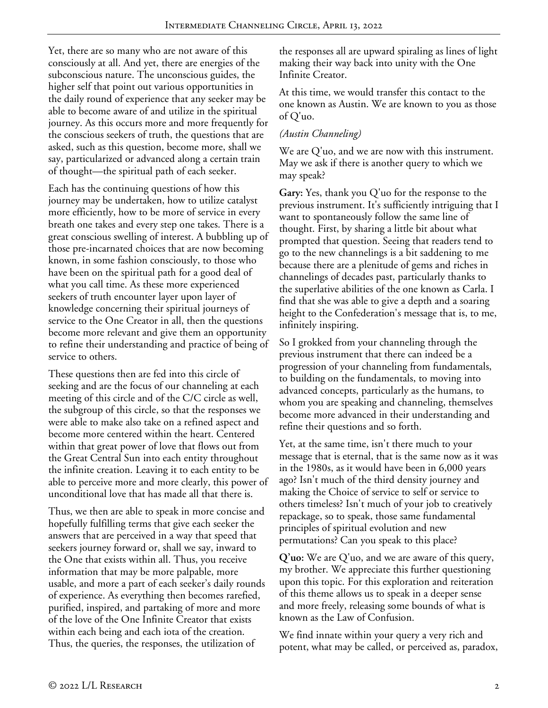Yet, there are so many who are not aware of this consciously at all. And yet, there are energies of the subconscious nature. The unconscious guides, the higher self that point out various opportunities in the daily round of experience that any seeker may be able to become aware of and utilize in the spiritual journey. As this occurs more and more frequently for the conscious seekers of truth, the questions that are asked, such as this question, become more, shall we say, particularized or advanced along a certain train of thought—the spiritual path of each seeker.

Each has the continuing questions of how this journey may be undertaken, how to utilize catalyst more efficiently, how to be more of service in every breath one takes and every step one takes. There is a great conscious swelling of interest. A bubbling up of those pre-incarnated choices that are now becoming known, in some fashion consciously, to those who have been on the spiritual path for a good deal of what you call time. As these more experienced seekers of truth encounter layer upon layer of knowledge concerning their spiritual journeys of service to the One Creator in all, then the questions become more relevant and give them an opportunity to refine their understanding and practice of being of service to others.

These questions then are fed into this circle of seeking and are the focus of our channeling at each meeting of this circle and of the C/C circle as well, the subgroup of this circle, so that the responses we were able to make also take on a refined aspect and become more centered within the heart. Centered within that great power of love that flows out from the Great Central Sun into each entity throughout the infinite creation. Leaving it to each entity to be able to perceive more and more clearly, this power of unconditional love that has made all that there is.

Thus, we then are able to speak in more concise and hopefully fulfilling terms that give each seeker the answers that are perceived in a way that speed that seekers journey forward or, shall we say, inward to the One that exists within all. Thus, you receive information that may be more palpable, more usable, and more a part of each seeker's daily rounds of experience. As everything then becomes rarefied, purified, inspired, and partaking of more and more of the love of the One Infinite Creator that exists within each being and each iota of the creation. Thus, the queries, the responses, the utilization of

the responses all are upward spiraling as lines of light making their way back into unity with the One Infinite Creator.

At this time, we would transfer this contact to the one known as Austin. We are known to you as those of Q'uo.

### *(Austin Channeling)*

We are Q'uo, and we are now with this instrument. May we ask if there is another query to which we may speak?

**Gary:** Yes, thank you Q'uo for the response to the previous instrument. It's sufficiently intriguing that I want to spontaneously follow the same line of thought. First, by sharing a little bit about what prompted that question. Seeing that readers tend to go to the new channelings is a bit saddening to me because there are a plenitude of gems and riches in channelings of decades past, particularly thanks to the superlative abilities of the one known as Carla. I find that she was able to give a depth and a soaring height to the Confederation's message that is, to me, infinitely inspiring.

So I grokked from your channeling through the previous instrument that there can indeed be a progression of your channeling from fundamentals, to building on the fundamentals, to moving into advanced concepts, particularly as the humans, to whom you are speaking and channeling, themselves become more advanced in their understanding and refine their questions and so forth.

Yet, at the same time, isn't there much to your message that is eternal, that is the same now as it was in the 1980s, as it would have been in 6,000 years ago? Isn't much of the third density journey and making the Choice of service to self or service to others timeless? Isn't much of your job to creatively repackage, so to speak, those same fundamental principles of spiritual evolution and new permutations? Can you speak to this place?

**Q'uo:** We are Q'uo, and we are aware of this query, my brother. We appreciate this further questioning upon this topic. For this exploration and reiteration of this theme allows us to speak in a deeper sense and more freely, releasing some bounds of what is known as the Law of Confusion.

We find innate within your query a very rich and potent, what may be called, or perceived as, paradox,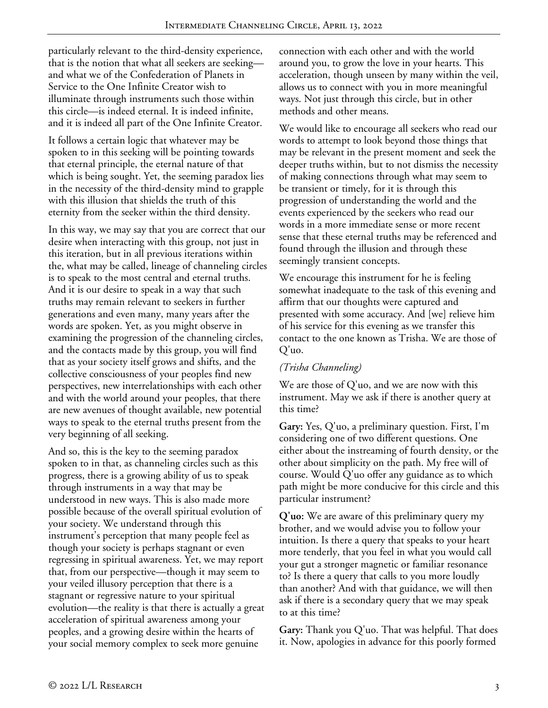particularly relevant to the third-density experience, that is the notion that what all seekers are seeking and what we of the Confederation of Planets in Service to the One Infinite Creator wish to illuminate through instruments such those within this circle—is indeed eternal. It is indeed infinite, and it is indeed all part of the One Infinite Creator.

It follows a certain logic that whatever may be spoken to in this seeking will be pointing towards that eternal principle, the eternal nature of that which is being sought. Yet, the seeming paradox lies in the necessity of the third-density mind to grapple with this illusion that shields the truth of this eternity from the seeker within the third density.

In this way, we may say that you are correct that our desire when interacting with this group, not just in this iteration, but in all previous iterations within the, what may be called, lineage of channeling circles is to speak to the most central and eternal truths. And it is our desire to speak in a way that such truths may remain relevant to seekers in further generations and even many, many years after the words are spoken. Yet, as you might observe in examining the progression of the channeling circles, and the contacts made by this group, you will find that as your society itself grows and shifts, and the collective consciousness of your peoples find new perspectives, new interrelationships with each other and with the world around your peoples, that there are new avenues of thought available, new potential ways to speak to the eternal truths present from the very beginning of all seeking.

And so, this is the key to the seeming paradox spoken to in that, as channeling circles such as this progress, there is a growing ability of us to speak through instruments in a way that may be understood in new ways. This is also made more possible because of the overall spiritual evolution of your society. We understand through this instrument's perception that many people feel as though your society is perhaps stagnant or even regressing in spiritual awareness. Yet, we may report that, from our perspective—though it may seem to your veiled illusory perception that there is a stagnant or regressive nature to your spiritual evolution—the reality is that there is actually a great acceleration of spiritual awareness among your peoples, and a growing desire within the hearts of your social memory complex to seek more genuine

connection with each other and with the world around you, to grow the love in your hearts. This acceleration, though unseen by many within the veil, allows us to connect with you in more meaningful ways. Not just through this circle, but in other methods and other means.

We would like to encourage all seekers who read our words to attempt to look beyond those things that may be relevant in the present moment and seek the deeper truths within, but to not dismiss the necessity of making connections through what may seem to be transient or timely, for it is through this progression of understanding the world and the events experienced by the seekers who read our words in a more immediate sense or more recent sense that these eternal truths may be referenced and found through the illusion and through these seemingly transient concepts.

We encourage this instrument for he is feeling somewhat inadequate to the task of this evening and affirm that our thoughts were captured and presented with some accuracy. And [we] relieve him of his service for this evening as we transfer this contact to the one known as Trisha. We are those of Q'uo.

### *(Trisha Channeling)*

We are those of Q'uo, and we are now with this instrument. May we ask if there is another query at this time?

**Gary:** Yes, Q'uo, a preliminary question. First, I'm considering one of two different questions. One either about the instreaming of fourth density, or the other about simplicity on the path. My free will of course. Would Q'uo offer any guidance as to which path might be more conducive for this circle and this particular instrument?

**Q'uo:** We are aware of this preliminary query my brother, and we would advise you to follow your intuition. Is there a query that speaks to your heart more tenderly, that you feel in what you would call your gut a stronger magnetic or familiar resonance to? Is there a query that calls to you more loudly than another? And with that guidance, we will then ask if there is a secondary query that we may speak to at this time?

**Gary:** Thank you Q'uo. That was helpful. That does it. Now, apologies in advance for this poorly formed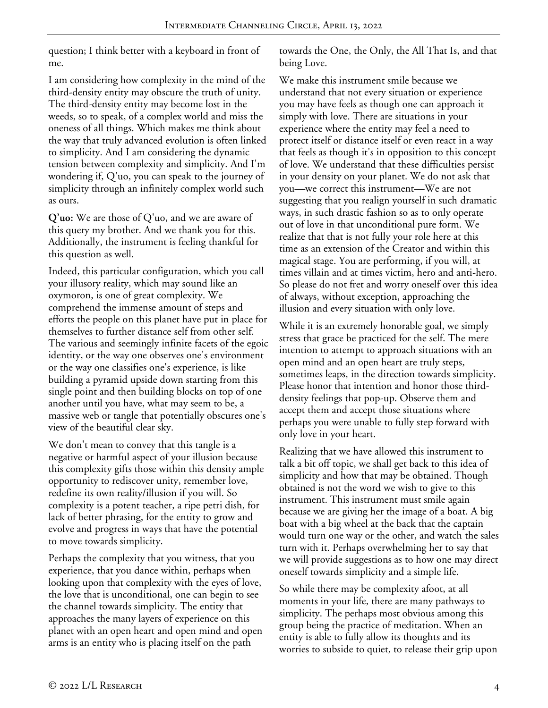question; I think better with a keyboard in front of me.

I am considering how complexity in the mind of the third-density entity may obscure the truth of unity. The third-density entity may become lost in the weeds, so to speak, of a complex world and miss the oneness of all things. Which makes me think about the way that truly advanced evolution is often linked to simplicity. And I am considering the dynamic tension between complexity and simplicity. And I'm wondering if, Q'uo, you can speak to the journey of simplicity through an infinitely complex world such as ours.

**Q'uo:** We are those of Q'uo, and we are aware of this query my brother. And we thank you for this. Additionally, the instrument is feeling thankful for this question as well.

Indeed, this particular configuration, which you call your illusory reality, which may sound like an oxymoron, is one of great complexity. We comprehend the immense amount of steps and efforts the people on this planet have put in place for themselves to further distance self from other self. The various and seemingly infinite facets of the egoic identity, or the way one observes one's environment or the way one classifies one's experience, is like building a pyramid upside down starting from this single point and then building blocks on top of one another until you have, what may seem to be, a massive web or tangle that potentially obscures one's view of the beautiful clear sky.

We don't mean to convey that this tangle is a negative or harmful aspect of your illusion because this complexity gifts those within this density ample opportunity to rediscover unity, remember love, redefine its own reality/illusion if you will. So complexity is a potent teacher, a ripe petri dish, for lack of better phrasing, for the entity to grow and evolve and progress in ways that have the potential to move towards simplicity.

Perhaps the complexity that you witness, that you experience, that you dance within, perhaps when looking upon that complexity with the eyes of love, the love that is unconditional, one can begin to see the channel towards simplicity. The entity that approaches the many layers of experience on this planet with an open heart and open mind and open arms is an entity who is placing itself on the path

towards the One, the Only, the All That Is, and that being Love.

We make this instrument smile because we understand that not every situation or experience you may have feels as though one can approach it simply with love. There are situations in your experience where the entity may feel a need to protect itself or distance itself or even react in a way that feels as though it's in opposition to this concept of love. We understand that these difficulties persist in your density on your planet. We do not ask that you—we correct this instrument—We are not suggesting that you realign yourself in such dramatic ways, in such drastic fashion so as to only operate out of love in that unconditional pure form. We realize that that is not fully your role here at this time as an extension of the Creator and within this magical stage. You are performing, if you will, at times villain and at times victim, hero and anti-hero. So please do not fret and worry oneself over this idea of always, without exception, approaching the illusion and every situation with only love.

While it is an extremely honorable goal, we simply stress that grace be practiced for the self. The mere intention to attempt to approach situations with an open mind and an open heart are truly steps, sometimes leaps, in the direction towards simplicity. Please honor that intention and honor those thirddensity feelings that pop-up. Observe them and accept them and accept those situations where perhaps you were unable to fully step forward with only love in your heart.

Realizing that we have allowed this instrument to talk a bit off topic, we shall get back to this idea of simplicity and how that may be obtained. Though obtained is not the word we wish to give to this instrument. This instrument must smile again because we are giving her the image of a boat. A big boat with a big wheel at the back that the captain would turn one way or the other, and watch the sales turn with it. Perhaps overwhelming her to say that we will provide suggestions as to how one may direct oneself towards simplicity and a simple life.

So while there may be complexity afoot, at all moments in your life, there are many pathways to simplicity. The perhaps most obvious among this group being the practice of meditation. When an entity is able to fully allow its thoughts and its worries to subside to quiet, to release their grip upon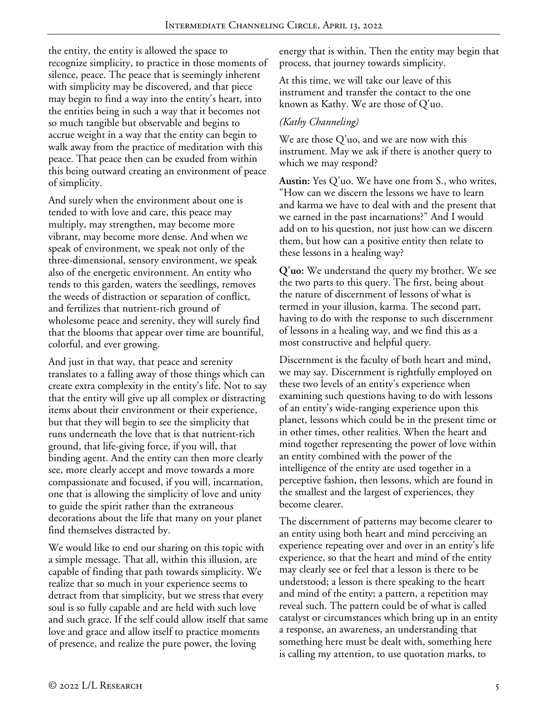the entity, the entity is allowed the space to recognize simplicity, to practice in those moments of silence, peace. The peace that is seemingly inherent with simplicity may be discovered, and that piece may begin to find a way into the entity's heart, into the entities being in such a way that it becomes not so much tangible but observable and begins to accrue weight in a way that the entity can begin to walk away from the practice of meditation with this peace. That peace then can be exuded from within this being outward creating an environment of peace of simplicity.

And surely when the environment about one is tended to with love and care, this peace may multiply, may strengthen, may become more vibrant, may become more dense. And when we speak of environment, we speak not only of the three-dimensional, sensory environment, we speak also of the energetic environment. An entity who tends to this garden, waters the seedlings, removes the weeds of distraction or separation of conflict, and fertilizes that nutrient-rich ground of wholesome peace and serenity, they will surely find that the blooms that appear over time are bountiful, colorful, and ever growing.

And just in that way, that peace and serenity translates to a falling away of those things which can create extra complexity in the entity's life. Not to say that the entity will give up all complex or distracting items about their environment or their experience, but that they will begin to see the simplicity that runs underneath the love that is that nutrient-rich ground, that life-giving force, if you will, that binding agent. And the entity can then more clearly see, more clearly accept and move towards a more compassionate and focused, if you will, incarnation, one that is allowing the simplicity of love and unity to guide the spirit rather than the extraneous decorations about the life that many on your planet find themselves distracted by.

We would like to end our sharing on this topic with a simple message. That all, within this illusion, are capable of finding that path towards simplicity. We realize that so much in your experience seems to detract from that simplicity, but we stress that every soul is so fully capable and are held with such love and such grace. If the self could allow itself that same love and grace and allow itself to practice moments of presence, and realize the pure power, the loving

energy that is within. Then the entity may begin that process, that journey towards simplicity.

At this time, we will take our leave of this instrument and transfer the contact to the one known as Kathy. We are those of Q'uo.

# *(Kathy Channeling)*

We are those Q'uo, and we are now with this instrument. May we ask if there is another query to which we may respond?

**Austin:** Yes Q'uo. We have one from S., who writes, "How can we discern the lessons we have to learn and karma we have to deal with and the present that we earned in the past incarnations?" And I would add on to his question, not just how can we discern them, but how can a positive entity then relate to these lessons in a healing way?

**Q'uo:** We understand the query my brother. We see the two parts to this query. The first, being about the nature of discernment of lessons of what is termed in your illusion, karma. The second part, having to do with the response to such discernment of lessons in a healing way, and we find this as a most constructive and helpful query.

Discernment is the faculty of both heart and mind, we may say. Discernment is rightfully employed on these two levels of an entity's experience when examining such questions having to do with lessons of an entity's wide-ranging experience upon this planet, lessons which could be in the present time or in other times, other realities. When the heart and mind together representing the power of love within an entity combined with the power of the intelligence of the entity are used together in a perceptive fashion, then lessons, which are found in the smallest and the largest of experiences, they become clearer.

The discernment of patterns may become clearer to an entity using both heart and mind perceiving an experience repeating over and over in an entity's life experience, so that the heart and mind of the entity may clearly see or feel that a lesson is there to be understood; a lesson is there speaking to the heart and mind of the entity; a pattern, a repetition may reveal such. The pattern could be of what is called catalyst or circumstances which bring up in an entity a response, an awareness, an understanding that something here must be dealt with, something here is calling my attention, to use quotation marks, to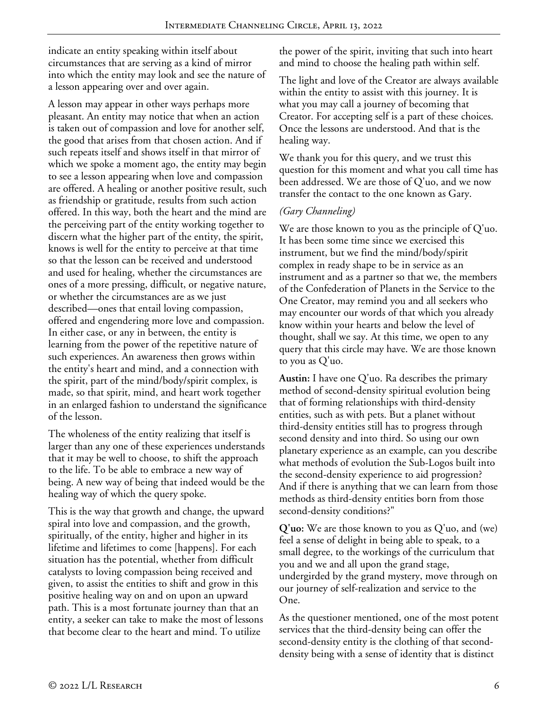indicate an entity speaking within itself about circumstances that are serving as a kind of mirror into which the entity may look and see the nature of a lesson appearing over and over again.

A lesson may appear in other ways perhaps more pleasant. An entity may notice that when an action is taken out of compassion and love for another self, the good that arises from that chosen action. And if such repeats itself and shows itself in that mirror of which we spoke a moment ago, the entity may begin to see a lesson appearing when love and compassion are offered. A healing or another positive result, such as friendship or gratitude, results from such action offered. In this way, both the heart and the mind are the perceiving part of the entity working together to discern what the higher part of the entity, the spirit, knows is well for the entity to perceive at that time so that the lesson can be received and understood and used for healing, whether the circumstances are ones of a more pressing, difficult, or negative nature, or whether the circumstances are as we just described—ones that entail loving compassion, offered and engendering more love and compassion. In either case, or any in between, the entity is learning from the power of the repetitive nature of such experiences. An awareness then grows within the entity's heart and mind, and a connection with the spirit, part of the mind/body/spirit complex, is made, so that spirit, mind, and heart work together in an enlarged fashion to understand the significance of the lesson.

The wholeness of the entity realizing that itself is larger than any one of these experiences understands that it may be well to choose, to shift the approach to the life. To be able to embrace a new way of being. A new way of being that indeed would be the healing way of which the query spoke.

This is the way that growth and change, the upward spiral into love and compassion, and the growth, spiritually, of the entity, higher and higher in its lifetime and lifetimes to come [happens]. For each situation has the potential, whether from difficult catalysts to loving compassion being received and given, to assist the entities to shift and grow in this positive healing way on and on upon an upward path. This is a most fortunate journey than that an entity, a seeker can take to make the most of lessons that become clear to the heart and mind. To utilize

the power of the spirit, inviting that such into heart and mind to choose the healing path within self.

The light and love of the Creator are always available within the entity to assist with this journey. It is what you may call a journey of becoming that Creator. For accepting self is a part of these choices. Once the lessons are understood. And that is the healing way.

We thank you for this query, and we trust this question for this moment and what you call time has been addressed. We are those of Q'uo, and we now transfer the contact to the one known as Gary.

### *(Gary Channeling)*

We are those known to you as the principle of Q'uo. It has been some time since we exercised this instrument, but we find the mind/body/spirit complex in ready shape to be in service as an instrument and as a partner so that we, the members of the Confederation of Planets in the Service to the One Creator, may remind you and all seekers who may encounter our words of that which you already know within your hearts and below the level of thought, shall we say. At this time, we open to any query that this circle may have. We are those known to you as Q'uo.

**Austin:** I have one Q'uo. Ra describes the primary method of second-density spiritual evolution being that of forming relationships with third-density entities, such as with pets. But a planet without third-density entities still has to progress through second density and into third. So using our own planetary experience as an example, can you describe what methods of evolution the Sub-Logos built into the second-density experience to aid progression? And if there is anything that we can learn from those methods as third-density entities born from those second-density conditions?"

**Q'uo:** We are those known to you as Q'uo, and (we) feel a sense of delight in being able to speak, to a small degree, to the workings of the curriculum that you and we and all upon the grand stage, undergirded by the grand mystery, move through on our journey of self-realization and service to the One.

As the questioner mentioned, one of the most potent services that the third-density being can offer the second-density entity is the clothing of that seconddensity being with a sense of identity that is distinct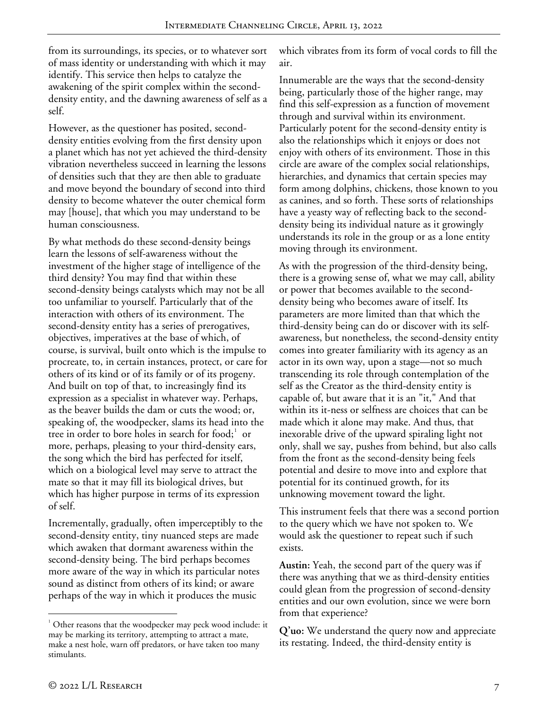from its surroundings, its species, or to whatever sort of mass identity or understanding with which it may identify. This service then helps to catalyze the awakening of the spirit complex within the seconddensity entity, and the dawning awareness of self as a self.

However, as the questioner has posited, seconddensity entities evolving from the first density upon a planet which has not yet achieved the third-density vibration nevertheless succeed in learning the lessons of densities such that they are then able to graduate and move beyond the boundary of second into third density to become whatever the outer chemical form may [house], that which you may understand to be human consciousness.

By what methods do these second-density beings learn the lessons of self-awareness without the investment of the higher stage of intelligence of the third density? You may find that within these second-density beings catalysts which may not be all too unfamiliar to yourself. Particularly that of the interaction with others of its environment. The second-density entity has a series of prerogatives, objectives, imperatives at the base of which, of course, is survival, built onto which is the impulse to procreate, to, in certain instances, protect, or care for others of its kind or of its family or of its progeny. And built on top of that, to increasingly find its expression as a specialist in whatever way. Perhaps, as the beaver builds the dam or cuts the wood; or, speaking of, the woodpecker, slams its head into the tree in order to bore holes in search for food;<sup>[1](#page-6-0)</sup> or more, perhaps, pleasing to your third-density ears, the song which the bird has perfected for itself, which on a biological level may serve to attract the mate so that it may fill its biological drives, but which has higher purpose in terms of its expression of self.

Incrementally, gradually, often imperceptibly to the second-density entity, tiny nuanced steps are made which awaken that dormant awareness within the second-density being. The bird perhaps becomes more aware of the way in which its particular notes sound as distinct from others of its kind; or aware perhaps of the way in which it produces the music

which vibrates from its form of vocal cords to fill the air.

Innumerable are the ways that the second-density being, particularly those of the higher range, may find this self-expression as a function of movement through and survival within its environment. Particularly potent for the second-density entity is also the relationships which it enjoys or does not enjoy with others of its environment. Those in this circle are aware of the complex social relationships, hierarchies, and dynamics that certain species may form among dolphins, chickens, those known to you as canines, and so forth. These sorts of relationships have a yeasty way of reflecting back to the seconddensity being its individual nature as it growingly understands its role in the group or as a lone entity moving through its environment.

As with the progression of the third-density being, there is a growing sense of, what we may call, ability or power that becomes available to the seconddensity being who becomes aware of itself. Its parameters are more limited than that which the third-density being can do or discover with its selfawareness, but nonetheless, the second-density entity comes into greater familiarity with its agency as an actor in its own way, upon a stage—not so much transcending its role through contemplation of the self as the Creator as the third-density entity is capable of, but aware that it is an "it," And that within its it-ness or selfness are choices that can be made which it alone may make. And thus, that inexorable drive of the upward spiraling light not only, shall we say, pushes from behind, but also calls from the front as the second-density being feels potential and desire to move into and explore that potential for its continued growth, for its unknowing movement toward the light.

This instrument feels that there was a second portion to the query which we have not spoken to. We would ask the questioner to repeat such if such exists.

**Austin:** Yeah, the second part of the query was if there was anything that we as third-density entities could glean from the progression of second-density entities and our own evolution, since we were born from that experience?

**Q'uo:** We understand the query now and appreciate its restating. Indeed, the third-density entity is

<span id="page-6-0"></span> $\overline{1}$  $\alpha$ <sup>1</sup> Other reasons that the woodpecker may peck wood include: it may be marking its territory, attempting to attract a mate, make a nest hole, warn off predators, or have taken too many stimulants.